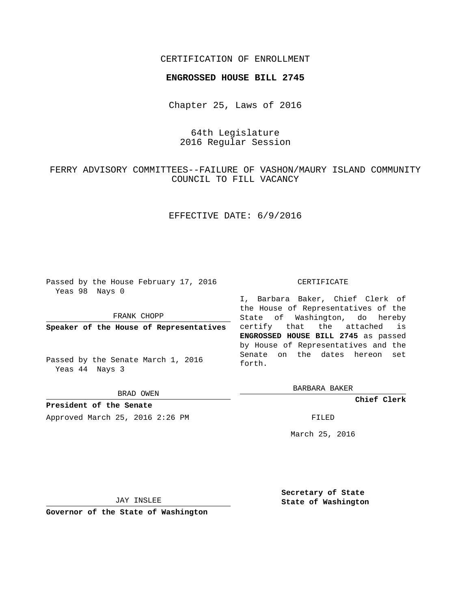### CERTIFICATION OF ENROLLMENT

#### **ENGROSSED HOUSE BILL 2745**

Chapter 25, Laws of 2016

# 64th Legislature 2016 Regular Session

# FERRY ADVISORY COMMITTEES--FAILURE OF VASHON/MAURY ISLAND COMMUNITY COUNCIL TO FILL VACANCY

## EFFECTIVE DATE: 6/9/2016

Passed by the House February 17, 2016 Yeas 98 Nays 0

FRANK CHOPP

**Speaker of the House of Representatives**

Passed by the Senate March 1, 2016 Yeas 44 Nays 3

BRAD OWEN

**President of the Senate** Approved March 25, 2016 2:26 PM FILED

#### CERTIFICATE

I, Barbara Baker, Chief Clerk of the House of Representatives of the State of Washington, do hereby certify that the attached is **ENGROSSED HOUSE BILL 2745** as passed by House of Representatives and the Senate on the dates hereon set forth.

BARBARA BAKER

**Chief Clerk**

March 25, 2016

JAY INSLEE

**Governor of the State of Washington**

**Secretary of State State of Washington**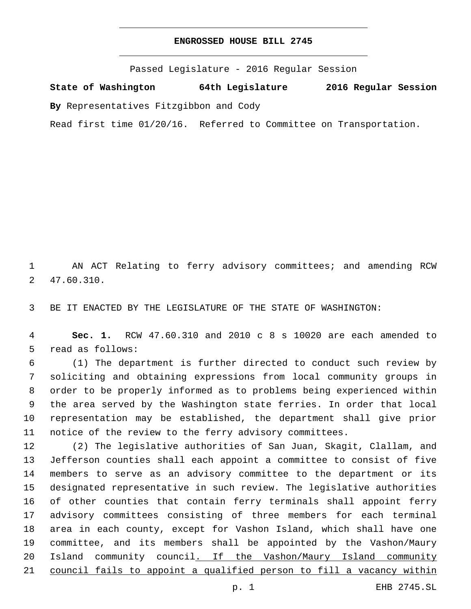## **ENGROSSED HOUSE BILL 2745**

Passed Legislature - 2016 Regular Session

**State of Washington 64th Legislature 2016 Regular Session**

**By** Representatives Fitzgibbon and Cody

Read first time 01/20/16. Referred to Committee on Transportation.

 AN ACT Relating to ferry advisory committees; and amending RCW 47.60.310.2

BE IT ENACTED BY THE LEGISLATURE OF THE STATE OF WASHINGTON:

 **Sec. 1.** RCW 47.60.310 and 2010 c 8 s 10020 are each amended to 5 read as follows:

 (1) The department is further directed to conduct such review by soliciting and obtaining expressions from local community groups in order to be properly informed as to problems being experienced within the area served by the Washington state ferries. In order that local representation may be established, the department shall give prior notice of the review to the ferry advisory committees.

 (2) The legislative authorities of San Juan, Skagit, Clallam, and Jefferson counties shall each appoint a committee to consist of five members to serve as an advisory committee to the department or its designated representative in such review. The legislative authorities of other counties that contain ferry terminals shall appoint ferry advisory committees consisting of three members for each terminal area in each county, except for Vashon Island, which shall have one committee, and its members shall be appointed by the Vashon/Maury Island community council. If the Vashon/Maury Island community council fails to appoint a qualified person to fill a vacancy within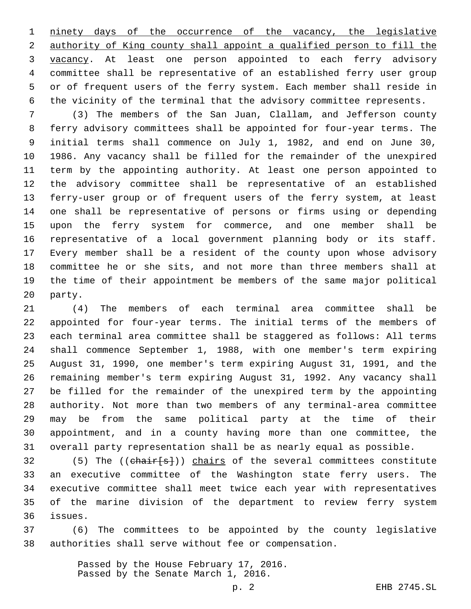ninety days of the occurrence of the vacancy, the legislative authority of King county shall appoint a qualified person to fill the vacancy. At least one person appointed to each ferry advisory committee shall be representative of an established ferry user group or of frequent users of the ferry system. Each member shall reside in the vicinity of the terminal that the advisory committee represents.

 (3) The members of the San Juan, Clallam, and Jefferson county ferry advisory committees shall be appointed for four-year terms. The initial terms shall commence on July 1, 1982, and end on June 30, 1986. Any vacancy shall be filled for the remainder of the unexpired term by the appointing authority. At least one person appointed to the advisory committee shall be representative of an established ferry-user group or of frequent users of the ferry system, at least one shall be representative of persons or firms using or depending upon the ferry system for commerce, and one member shall be representative of a local government planning body or its staff. Every member shall be a resident of the county upon whose advisory committee he or she sits, and not more than three members shall at the time of their appointment be members of the same major political 20 party.

 (4) The members of each terminal area committee shall be appointed for four-year terms. The initial terms of the members of each terminal area committee shall be staggered as follows: All terms shall commence September 1, 1988, with one member's term expiring August 31, 1990, one member's term expiring August 31, 1991, and the remaining member's term expiring August 31, 1992. Any vacancy shall be filled for the remainder of the unexpired term by the appointing authority. Not more than two members of any terminal-area committee may be from the same political party at the time of their appointment, and in a county having more than one committee, the overall party representation shall be as nearly equal as possible.

32 (5) The ((chair[s])) chairs of the several committees constitute an executive committee of the Washington state ferry users. The executive committee shall meet twice each year with representatives of the marine division of the department to review ferry system issues.36

 (6) The committees to be appointed by the county legislative authorities shall serve without fee or compensation.

> Passed by the House February 17, 2016. Passed by the Senate March 1, 2016.